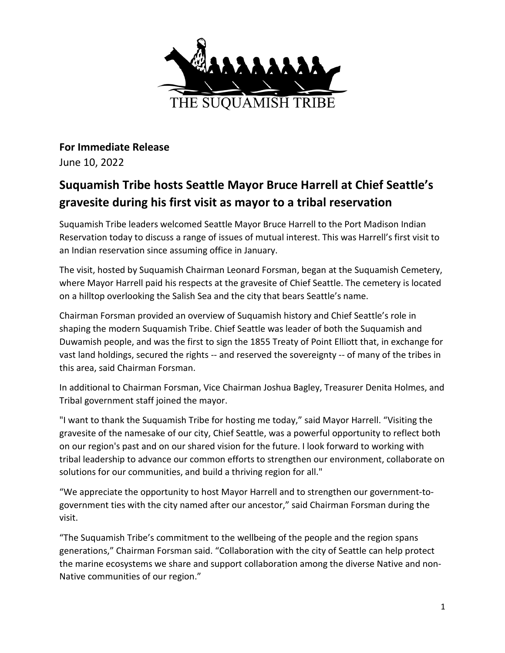

**For Immediate Release** June 10, 2022

## **Suquamish Tribe hosts Seattle Mayor Bruce Harrell at Chief Seattle's gravesite during his first visit as mayor to a tribal reservation**

Suquamish Tribe leaders welcomed Seattle Mayor Bruce Harrell to the Port Madison Indian Reservation today to discuss a range of issues of mutual interest. This was Harrell's first visit to an Indian reservation since assuming office in January.

The visit, hosted by Suquamish Chairman Leonard Forsman, began at the Suquamish Cemetery, where Mayor Harrell paid his respects at the gravesite of Chief Seattle. The cemetery is located on a hilltop overlooking the Salish Sea and the city that bears Seattle's name.

Chairman Forsman provided an overview of Suquamish history and Chief Seattle's role in shaping the modern Suquamish Tribe. Chief Seattle was leader of both the Suquamish and Duwamish people, and was the first to sign the 1855 Treaty of Point Elliott that, in exchange for vast land holdings, secured the rights -- and reserved the sovereignty -- of many of the tribes in this area, said Chairman Forsman.

In additional to Chairman Forsman, Vice Chairman Joshua Bagley, Treasurer Denita Holmes, and Tribal government staff joined the mayor.

"I want to thank the Suquamish Tribe for hosting me today," said Mayor Harrell. "Visiting the gravesite of the namesake of our city, Chief Seattle, was a powerful opportunity to reflect both on our region's past and on our shared vision for the future. I look forward to working with tribal leadership to advance our common efforts to strengthen our environment, collaborate on solutions for our communities, and build a thriving region for all."

"We appreciate the opportunity to host Mayor Harrell and to strengthen our government-togovernment ties with the city named after our ancestor," said Chairman Forsman during the visit.

"The Suquamish Tribe's commitment to the wellbeing of the people and the region spans generations," Chairman Forsman said. "Collaboration with the city of Seattle can help protect the marine ecosystems we share and support collaboration among the diverse Native and non-Native communities of our region."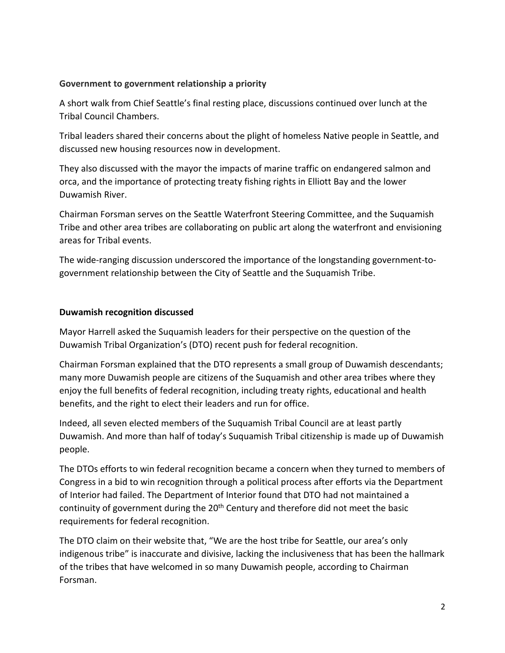## **Government to government relationship a priority**

A short walk from Chief Seattle's final resting place, discussions continued over lunch at the Tribal Council Chambers.

Tribal leaders shared their concerns about the plight of homeless Native people in Seattle, and discussed new housing resources now in development.

They also discussed with the mayor the impacts of marine traffic on endangered salmon and orca, and the importance of protecting treaty fishing rights in Elliott Bay and the lower Duwamish River.

Chairman Forsman serves on the Seattle Waterfront Steering Committee, and the Suquamish Tribe and other area tribes are collaborating on public art along the waterfront and envisioning areas for Tribal events.

The wide-ranging discussion underscored the importance of the longstanding government-togovernment relationship between the City of Seattle and the Suquamish Tribe.

## **Duwamish recognition discussed**

Mayor Harrell asked the Suquamish leaders for their perspective on the question of the Duwamish Tribal Organization's (DTO) recent push for federal recognition.

Chairman Forsman explained that the DTO represents a small group of Duwamish descendants; many more Duwamish people are citizens of the Suquamish and other area tribes where they enjoy the full benefits of federal recognition, including treaty rights, educational and health benefits, and the right to elect their leaders and run for office.

Indeed, all seven elected members of the Suquamish Tribal Council are at least partly Duwamish. And more than half of today's Suquamish Tribal citizenship is made up of Duwamish people.

The DTOs efforts to win federal recognition became a concern when they turned to members of Congress in a bid to win recognition through a political process after efforts via the Department of Interior had failed. The Department of Interior found that DTO had not maintained a continuity of government during the 20<sup>th</sup> Century and therefore did not meet the basic requirements for federal recognition.

The DTO claim on their website that, "We are the host tribe for Seattle, our area's only indigenous tribe" is inaccurate and divisive, lacking the inclusiveness that has been the hallmark of the tribes that have welcomed in so many Duwamish people, according to Chairman Forsman.